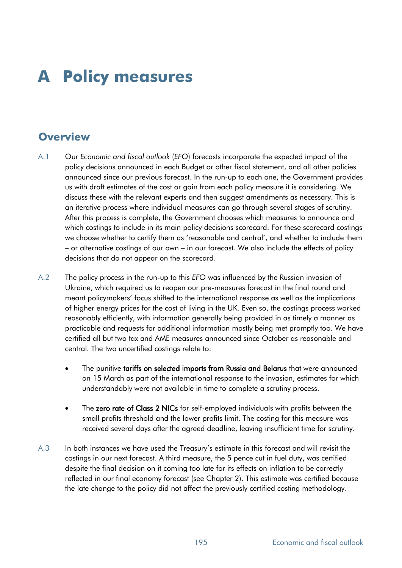# **A Policy measures**

# **Overview**

- A.1 Our *Economic and fiscal outlook* (*EFO*) forecasts incorporate the expected impact of the policy decisions announced in each Budget or other fiscal statement, and all other policies announced since our previous forecast. In the run-up to each one, the Government provides us with draft estimates of the cost or gain from each policy measure it is considering. We discuss these with the relevant experts and then suggest amendments as necessary. This is an iterative process where individual measures can go through several stages of scrutiny. After this process is complete, the Government chooses which measures to announce and which costings to include in its main policy decisions scorecard. For these scorecard costings we choose whether to certify them as 'reasonable and central', and whether to include them – or alternative costings of our own – in our forecast. We also include the effects of policy decisions that do not appear on the scorecard.
- A.2 The policy process in the run-up to this *EFO* was influenced by the Russian invasion of Ukraine, which required us to reopen our pre-measures forecast in the final round and meant policymakers' focus shifted to the international response as well as the implications of higher energy prices for the cost of living in the UK. Even so, the costings process worked reasonably efficiently, with information generally being provided in as timely a manner as practicable and requests for additional information mostly being met promptly too. We have certified all but two tax and AME measures announced since October as reasonable and central. The two uncertified costings relate to:
	- The punitive tariffs on selected imports from Russia and Belarus that were announced on 15 March as part of the international response to the invasion, estimates for which understandably were not available in time to complete a scrutiny process.
	- The zero rate of Class 2 NICs for self-employed individuals with profits between the small profits threshold and the lower profits limit. The costing for this measure was received several days after the agreed deadline, leaving insufficient time for scrutiny.
- A.3 In both instances we have used the Treasury's estimate in this forecast and will revisit the costings in our next forecast. A third measure, the 5 pence cut in fuel duty, was certified despite the final decision on it coming too late for its effects on inflation to be correctly reflected in our final economy forecast (see Chapter 2). This estimate was certified because the late change to the policy did not affect the previously certified costing methodology.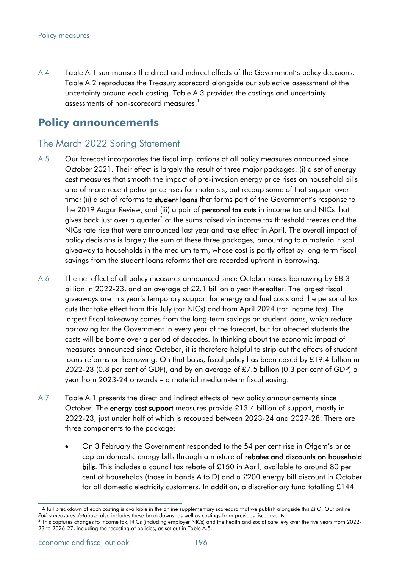A.4 Table A.1 summarises the direct and indirect effects of the Government's policy decisions. Table A.2 reproduces the Treasury scorecard alongside our subjective assessment of the uncertainty around each costing. Table A.3 provides the costings and uncertainty assessments of non-scorecard measures.<sup>1</sup>

# **Policy announcements**

### The March 2022 Spring Statement

- A.5 Our forecast incorporates the fiscal implications of all policy measures announced since October 2021. Their effect is largely the result of three major packages: (i) a set of energy cost measures that smooth the impact of pre-invasion energy price rises on household bills and of more recent petrol price rises for motorists, but recoup some of that support over time; (ii) a set of reforms to student loans that forms part of the Government's response to the 2019 Augar Review; and (iii) a pair of personal tax cuts in income tax and NICs that gives back just over a quarter<sup>2</sup> of the sums raised via income tax threshold freezes and the NICs rate rise that were announced last year and take effect in April. The overall impact of policy decisions is largely the sum of these three packages, amounting to a material fiscal giveaway to households in the medium term, whose cost is partly offset by long-term fiscal savings from the student loans reforms that are recorded upfront in borrowing.
- A.6 The net effect of all policy measures announced since October raises borrowing by £8.3 billion in 2022-23, and an average of £2.1 billion a year thereafter. The largest fiscal giveaways are this year's temporary support for energy and fuel costs and the personal tax cuts that take effect from this July (for NICs) and from April 2024 (for income tax). The largest fiscal takeaway comes from the long-term savings on student loans, which reduce borrowing for the Government in every year of the forecast, but for affected students the costs will be borne over a period of decades. In thinking about the economic impact of measures announced since October, it is therefore helpful to strip out the effects of student loans reforms on borrowing. On that basis, fiscal policy has been eased by £19.4 billion in 2022-23 (0.8 per cent of GDP), and by an average of £7.5 billion (0.3 per cent of GDP) a year from 2023-24 onwards – a material medium-term fiscal easing.
- A.7 Table A.1 presents the direct and indirect effects of new policy announcements since October. The energy cost support measures provide £13.4 billion of support, mostly in 2022-23, just under half of which is recouped between 2023-24 and 2027-28. There are three components to the package:
	- On 3 February the Government responded to the 54 per cent rise in Ofgem's price cap on domestic energy bills through a mixture of rebates and discounts on household bills. This includes a council tax rebate of £150 in April, available to around 80 per cent of households (those in bands A to D) and a £200 energy bill discount in October for all domestic electricity customers. In addition, a discretionary fund totalling £144

<sup>&</sup>lt;sup>1</sup> A full breakdown of each costing is available in the online supplementary scorecard that we publish alongside this *EFO*. Our online *Policy measures database* also includes these breakdowns, as well as costings from previous fiscal events.

<sup>&</sup>lt;sup>2</sup> This captures changes to income tax, NICs (including employer NICs) and the health and social care levy over the five years from 2022-23 to 2026-27, including the recosting of policies, as set out in Table A.5.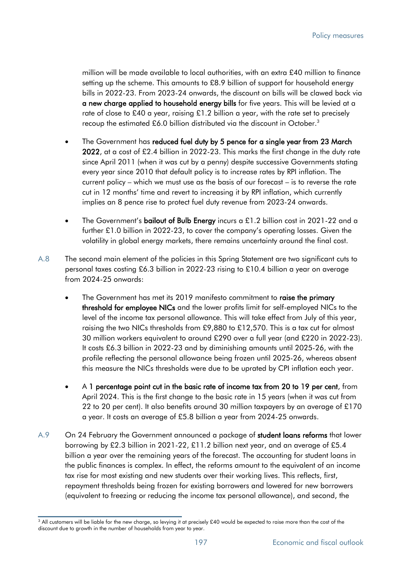million will be made available to local authorities, with an extra £40 million to finance setting up the scheme. This amounts to £8.9 billion of support for household energy bills in 2022-23. From 2023-24 onwards, the discount on bills will be clawed back via a new charge applied to household energy bills for five years. This will be levied at a rate of close to £40 a year, raising £1.2 billion a year, with the rate set to precisely recoup the estimated £6.0 billion distributed via the discount in October.<sup>3</sup>

- The Government has reduced fuel duty by 5 pence for a single year from 23 March 2022, at a cost of £2.4 billion in 2022-23. This marks the first change in the duty rate since April 2011 (when it was cut by a penny) despite successive Governments stating every year since 2010 that default policy is to increase rates by RPI inflation. The current policy – which we must use as the basis of our forecast – is to reverse the rate cut in 12 months' time and revert to increasing it by RPI inflation, which currently implies an 8 pence rise to protect fuel duty revenue from 2023-24 onwards.
- The Government's **bailout of Bulb Energy** incurs a £1.2 billion cost in 2021-22 and a further £1.0 billion in 2022-23, to cover the company's operating losses. Given the volatility in global energy markets, there remains uncertainty around the final cost.
- A.8 The second main element of the policies in this Spring Statement are two significant cuts to personal taxes costing £6.3 billion in 2022-23 rising to £10.4 billion a year on average from 2024-25 onwards:
	- The Government has met its 2019 manifesto commitment to raise the primary threshold for employee NICs and the lower profits limit for self-employed NICs to the level of the income tax personal allowance. This will take effect from July of this year, raising the two NICs thresholds from £9,880 to £12,570. This is a tax cut for almost 30 million workers equivalent to around £290 over a full year (and £220 in 2022-23). It costs £6.3 billion in 2022-23 and by diminishing amounts until 2025-26, with the profile reflecting the personal allowance being frozen until 2025-26, whereas absent this measure the NICs thresholds were due to be uprated by CPI inflation each year.
	- A 1 percentage point cut in the basic rate of income tax from 20 to 19 per cent, from April 2024. This is the first change to the basic rate in 15 years (when it was cut from 22 to 20 per cent). It also benefits around 30 million taxpayers by an average of £170 a year. It costs an average of £5.8 billion a year from 2024-25 onwards.
- A.9 On 24 February the Government announced a package of student loans reforms that lower borrowing by £2.3 billion in 2021-22, £11.2 billion next year, and an average of £5.4 billion a year over the remaining years of the forecast. The accounting for student loans in the public finances is complex. In effect, the reforms amount to the equivalent of an income tax rise for most existing and new students over their working lives. This reflects, first, repayment thresholds being frozen for existing borrowers and lowered for new borrowers (equivalent to freezing or reducing the income tax personal allowance), and second, the

<sup>&</sup>lt;sup>3</sup> All customers will be liable for the new charge, so levying it at precisely £40 would be expected to raise more than the cost of the discount due to growth in the number of households from year to year.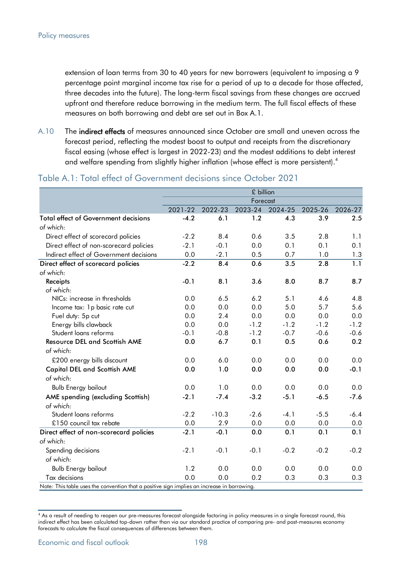extension of loan terms from 30 to 40 years for new borrowers (equivalent to imposing a 9 percentage point marginal income tax rise for a period of up to a decade for those affected, three decades into the future). The long-term fiscal savings from these changes are accrued upfront and therefore reduce borrowing in the medium term. The full fiscal effects of these measures on both borrowing and debt are set out in Box A.1.

A.10 The indirect effects of measures announced since October are small and uneven across the forecast period, reflecting the modest boost to output and receipts from the discretionary fiscal easing (whose effect is largest in 2022-23) and the modest additions to debt interest and welfare spending from slightly higher inflation (whose effect is more persistent). 4

|                                                                                             | £ billion |         |          |         |         |         |  |  |  |
|---------------------------------------------------------------------------------------------|-----------|---------|----------|---------|---------|---------|--|--|--|
|                                                                                             |           |         | Forecast |         |         |         |  |  |  |
|                                                                                             | 2021-22   | 2022-23 | 2023-24  | 2024-25 | 2025-26 | 2026-27 |  |  |  |
| <b>Total effect of Government decisions</b>                                                 | $-4.2$    | 6.1     | 1.2      | 4.3     | 3.9     | 2.5     |  |  |  |
| of which:                                                                                   |           |         |          |         |         |         |  |  |  |
| Direct effect of scorecard policies                                                         | $-2.2$    | 8.4     | 0.6      | 3.5     | 2.8     | 1.1     |  |  |  |
| Direct effect of non-scorecard policies                                                     | $-2.1$    | $-0.1$  | 0.0      | 0.1     | 0.1     | 0.1     |  |  |  |
| Indirect effect of Government decisions                                                     | 0.0       | $-2.1$  | 0.5      | 0.7     | 1.0     | 1.3     |  |  |  |
| Direct effect of scorecard policies                                                         | $-2.2$    | 8.4     | 0.6      | 3.5     | 2.8     | 1.1     |  |  |  |
| of which:                                                                                   |           |         |          |         |         |         |  |  |  |
| Receipts                                                                                    | $-0.1$    | 8.1     | 3.6      | 8.0     | 8.7     | 8.7     |  |  |  |
| of which:                                                                                   |           |         |          |         |         |         |  |  |  |
| NICs: increase in thresholds                                                                | 0.0       | 6.5     | 6.2      | 5.1     | 4.6     | 4.8     |  |  |  |
| Income tax: 1p basic rate cut                                                               | 0.0       | 0.0     | 0.0      | 5.0     | 5.7     | 5.6     |  |  |  |
| Fuel duty: 5p cut                                                                           | 0.0       | 2.4     | 0.0      | 0.0     | 0.0     | 0.0     |  |  |  |
| Energy bills clawback                                                                       | 0.0       | 0.0     | $-1.2$   | $-1.2$  | $-1.2$  | $-1.2$  |  |  |  |
| Student loans reforms                                                                       | $-0.1$    | $-0.8$  | $-1.2$   | $-0.7$  | $-0.6$  | $-0.6$  |  |  |  |
| <b>Resource DEL and Scottish AME</b>                                                        | 0.0       | 6.7     | 0.1      | 0.5     | 0.6     | 0.2     |  |  |  |
| of which:                                                                                   |           |         |          |         |         |         |  |  |  |
| £200 energy bills discount                                                                  | 0.0       | 6.0     | 0.0      | 0.0     | 0.0     | 0.0     |  |  |  |
| <b>Capital DEL and Scottish AME</b>                                                         | 0.0       | 1.0     | 0.0      | 0.0     | 0.0     | $-0.1$  |  |  |  |
| of which:                                                                                   |           |         |          |         |         |         |  |  |  |
| <b>Bulb Energy bailout</b>                                                                  | 0.0       | 1.0     | 0.0      | 0.0     | 0.0     | 0.0     |  |  |  |
| AME spending (excluding Scottish)                                                           | $-2.1$    | $-7.4$  | $-3.2$   | $-5.1$  | $-6.5$  | $-7.6$  |  |  |  |
| of which:                                                                                   |           |         |          |         |         |         |  |  |  |
| Student loans reforms                                                                       | $-2.2$    | $-10.3$ | $-2.6$   | $-4.1$  | $-5.5$  | $-6.4$  |  |  |  |
| £150 council tax rebate                                                                     | 0.0       | 2.9     | 0.0      | 0.0     | 0.0     | 0.0     |  |  |  |
| Direct effect of non-scorecard policies                                                     | $-2.1$    | $-0.1$  | 0.0      | 0.1     | 0.1     | 0.1     |  |  |  |
| of which:                                                                                   |           |         |          |         |         |         |  |  |  |
| Spending decisions                                                                          | $-2.1$    | $-0.1$  | $-0.1$   | $-0.2$  | $-0.2$  | $-0.2$  |  |  |  |
| of which:                                                                                   |           |         |          |         |         |         |  |  |  |
| <b>Bulb Energy bailout</b>                                                                  | 1.2       | 0.0     | 0.0      | 0.0     | 0.0     | 0.0     |  |  |  |
| Tax decisions                                                                               | 0.0       | 0.0     | 0.2      | 0.3     | 0.3     | 0.3     |  |  |  |
| Note: This table uses the convention that a positive sign implies an increase in borrowing. |           |         |          |         |         |         |  |  |  |

#### Table A.1: Total effect of Government decisions since October 2021

<sup>&</sup>lt;sup>4</sup> As a result of needing to reopen our pre-measures forecast alongside factoring in policy measures in a single forecast round, this indirect effect has been calculated top-down rather than via our standard practice of comparing pre- and post-measures economy forecasts to calculate the fiscal consequences of differences between them.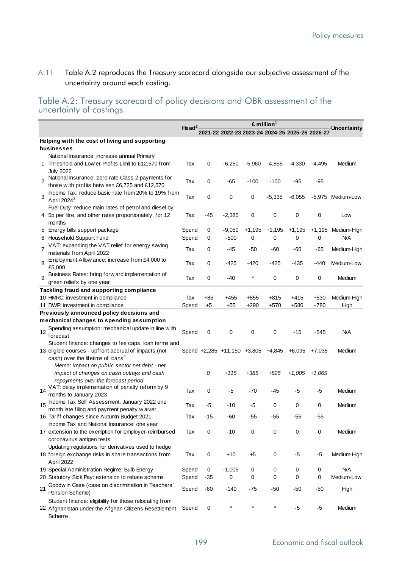### A.11 Table A.2 reproduces the Treasury scorecard alongside our subjective assessment of the uncertainty around each costing.

#### Table A.2: Treasury scorecard of policy decisions and OBR assessment of the uncertainty of costings

|                |                                                                                                      | £ million <sup>1</sup> |       |                                                 |          |          |          |          |                    |
|----------------|------------------------------------------------------------------------------------------------------|------------------------|-------|-------------------------------------------------|----------|----------|----------|----------|--------------------|
|                |                                                                                                      | He ad $^2$             |       | 2021-22 2022-23 2023-24 2024-25 2025-26 2026-27 |          |          |          |          | <b>Uncertainty</b> |
|                | Helping with the cost of living and supporting                                                       |                        |       |                                                 |          |          |          |          |                    |
|                | businesses                                                                                           |                        |       |                                                 |          |          |          |          |                    |
|                | National Insurance: increase annual Primary                                                          |                        |       |                                                 |          |          |          |          |                    |
|                | 1 Threshold and Low er Profits Limit to £12,570 from<br><b>July 2022</b>                             | Tax                    | 0     | $-6,250$                                        | $-5,960$ | $-4,855$ | $-4,330$ | -4,495   | Medium             |
| $\overline{2}$ | National Insurance: zero rate Class 2 payments for<br>those with profits betw een £6,725 and £12,570 | Tax                    | 0     | -65                                             | $-100$   | $-100$   | -95      | -95      |                    |
| 3              | Income Tax: reduce basic rate from 20% to 19% from<br>April $2024^3$                                 | Tax                    | 0     | 0                                               | 0        | $-5,335$ | $-6,055$ |          | -5,975 Medium-Low  |
|                | Fuel Duty: reduce main rates of petrol and diesel by                                                 |                        |       |                                                 |          |          |          |          |                    |
|                | 4 5p per litre, and other rates proportionately, for 12                                              | Tax                    | -45   | $-2,385$                                        | 0        | 0        | 0        | 0        | Low                |
|                | months                                                                                               |                        |       |                                                 |          |          |          |          |                    |
|                | 5 Energy bills support package                                                                       | Spend                  | 0     | $-9,050$                                        | $+1,195$ | $+1,195$ | $+1,195$ |          | +1,195 Medium-High |
|                | 6 Household Support Fund                                                                             | Spend                  | 0     | $-500$                                          | 0        | 0        | 0        | 0        | <b>N/A</b>         |
| $\overline{7}$ | VAT: expanding the VAT relief for energy saving                                                      | Tax                    | 0     | -45                                             | -50      | -60      | -60      | -65      | Medium-High        |
|                | materials from April 2022<br>Employment Allow ance: increase from £4,000 to                          |                        |       |                                                 |          |          |          |          |                    |
| 8              | £5,000                                                                                               | Tax                    | 0     | $-425$                                          | $-420$   | -425     | -435     | -440     | Medium-Low         |
| 9              | Business Rates: bring forw ard implementation of<br>green reliefs by one year                        | Tax                    | 0     | -40                                             |          | 0        | 0        | 0        | Medium             |
|                | Tackling fraud and supporting compliance                                                             |                        |       |                                                 |          |          |          |          |                    |
|                | 10 HMRC: investment in compliance                                                                    | Tax                    | +85   | $+455$                                          | $+855$   | $+815$   | +415     | $+530$   | Medium-High        |
|                | 11 DWP: investment in compliance                                                                     | Spend                  | $+5$  | $+55$                                           | +290     | $+570$   | +580     | +780     | High               |
|                | Previously announced policy decisions and                                                            |                        |       |                                                 |          |          |          |          |                    |
|                | mechanical changes to spending assumption                                                            |                        |       |                                                 |          |          |          |          |                    |
|                | Spending assumption: mechanical update in line with                                                  |                        |       |                                                 |          |          |          |          |                    |
| 12             | forecast                                                                                             | Spend                  | 0     | 0                                               | 0        | 0        | $-15$    | $+545$   | ΝA                 |
|                | Student finance: changes to fee caps, loan terms and                                                 |                        |       |                                                 |          |          |          |          |                    |
|                | 13 eligible courses - upfront accrual of impacts (not                                                |                        |       | Spend +2,285 +11,150 +3,805 +4,845              |          |          | $+6,095$ | $+7,035$ | Medium             |
|                | cash) over the lifetime of loans <sup>4</sup>                                                        |                        |       |                                                 |          |          |          |          |                    |
|                | Memo: impact on public sector net debt - net                                                         |                        |       |                                                 |          |          |          |          |                    |
|                | impact of changes on cash outlays and cash<br>repayments over the forecast period                    |                        | 0     | +115                                            | +385     | $+825$   | $+1,005$ | $+1,065$ |                    |
| 14             | VAT: delay implementation of penalty reform by 9                                                     |                        |       |                                                 |          |          |          |          |                    |
|                | months to January 2023                                                                               | Tax                    | 0     | -5                                              | -70      | -45      | -5       | -5       | Medium             |
| 15             | Income Tax Self Assessment: January 2022 one                                                         | Tax                    | -5    | -10                                             | -5       | 0        | 0        | 0        | Medium             |
|                | month late filing and payment penalty waiver                                                         |                        |       |                                                 |          |          |          |          |                    |
|                | 16 Tariff changes since Autumn Budget 2021                                                           | Tax                    | $-15$ | -60                                             | -55      | $-55$    | -55      | -55      |                    |
|                | Income Tax and National Insurance: one year                                                          |                        |       |                                                 |          |          |          |          |                    |
|                | 17 extension to the exemption for employer-reimbursed                                                | Tax                    | 0     | -10                                             | 0        | 0        | 0        | 0        | Medium             |
|                | coronavirus antigen tests                                                                            |                        |       |                                                 |          |          |          |          |                    |
|                | Updating regulations for derivatives used to hedge                                                   |                        |       |                                                 |          |          |          |          |                    |
|                | 18 foreign exchange risks in share transactions from<br>April 2022                                   | Tax                    | 0     | $+10$                                           | +5       | 0        | -5       | -5       | Medium-High        |
|                | 19 Special Administration Regime: Bulb Energy                                                        | Spend                  | 0     | $-1,005$                                        | 0        | 0        | 0        | 0        | ΝA                 |
|                | 20 Statutory Sick Pay: extension to rebate scheme                                                    | Spend                  | -35   | 0                                               | 0        | 0        | 0        | 0        | Medium-Low         |
|                | Goodw in Case (case on discrimination in Teachers'                                                   |                        |       |                                                 |          |          |          |          |                    |
| 21             | Pension Scheme)                                                                                      | Spend                  | -60   | $-140$                                          | $-75$    | $-50$    | $-50$    | $-50$    | High               |
|                | Student finance: eligibility for those relocating from                                               |                        | 0     |                                                 |          |          | $-5$     | -5       | Medium             |
|                | 22 Afghanistan under the Afghan Citizens Resettlement<br>Scheme                                      | Spend                  |       |                                                 |          |          |          |          |                    |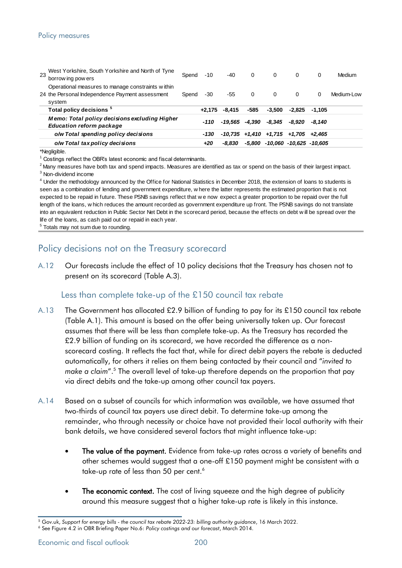#### Policy measures

| 23 | West Yorkshire, South Yorkshire and North of Tyne<br>borrow ing pow ers          | Spend | $-10$    | $-40$    | $\mathbf{0}$ | $\Omega$                                      | $\Omega$ | $\Omega$ | Medium     |
|----|----------------------------------------------------------------------------------|-------|----------|----------|--------------|-----------------------------------------------|----------|----------|------------|
|    | Operational measures to manage constraints within                                |       |          |          |              |                                               |          |          |            |
|    | 24 the Personal Independence Payment assessment                                  | Spend | -30      | -55      | $\Omega$     | $\Omega$                                      | $\Omega$ | 0        | Medium-Low |
|    | system                                                                           |       |          |          |              |                                               |          |          |            |
|    | Total policy decisions <sup>5</sup>                                              |       | $+2.175$ | $-8.415$ | -585         | $-3.500$                                      | -2.825   | -1.105   |            |
|    | Memo: Total policy decisions excluding Higher<br><b>Education reform package</b> |       | -110     | -19.565  | -4.390       | -8.345                                        | -8.920   | -8.140   |            |
|    | o/w Total spending policy decisions                                              |       | -130     |          |              | $-10,735$ $+1,410$ $+1,715$ $+1,705$ $+2,465$ |          |          |            |
|    | o/w Total tax policy decisions                                                   |       | +20      | -8.830   |              | $-5,800$ $-10,060$ $-10,625$ $-10,605$        |          |          |            |
|    |                                                                                  |       |          |          |              |                                               |          |          |            |

\*Negligible.

 $1$  Costings reflect the OBR's latest economic and fiscal determinants.

3 Non-dividend income

<sup>4</sup> Under the methodology announced by the Office for National Statistics in December 2018, the extension of loans to students is  $^{2}$  Many measures have both tax and spend impacts. Measures are identified as tax or spend on the basis of their largest impact.<br> $^{3}$  Non-dividend income<br> $^{4}$  Under the methodology announced by the Office for National expected to be repaid in future. These PSNB savings reflect that we now expect a greater proportion to be repaid over the full length of the loans. Which reduces the amount recorded as government expected to be repaid over <sup>4</sup> Under the methodology announced by the Office for National Statistics in December 2018, the extension of loans to students is<br>seen as a combination of lending and government expenditure, w here the latter represents th seen as a combination of lending and government expenditure, w here the latter represents the estimated proportion that is not expected to be repaid in future. These PSNB savings reflect that we now expect a greater propor life of the loans, as cash paid out or repaid in each year.

<sup>5</sup> Totals may not sum due to rounding.

## Policy decisions not on the Treasury scorecard

A.12 Our forecasts include the effect of 10 policy decisions that the Treasury has chosen not to present on its scorecard (Table A.3).

#### Less than complete take-up of the £150 council tax rebate

- A.13 The Government has allocated £2.9 billion of funding to pay for its £150 council tax rebate (Table A.1). This amount is based on the offer being universally taken up. Our forecast assumes that there will be less than complete take-up. As the Treasury has recorded the £2.9 billion of funding on its scorecard, we have recorded the difference as a nonscorecard costing. It reflects the fact that, while for direct debit payers the rebate is deducted automatically, for others it relies on them being contacted by their council and "*invited to*  make a claim".<sup>5</sup> The overall level of take-up therefore depends on the proportion that pay via direct debits and the take-up among other council tax payers.
- A.14 Based on a subset of councils for which information was available, we have assumed that two-thirds of council tax payers use direct debit. To determine take-up among the remainder, who through necessity or choice have not provided their local authority with their bank details, we have considered several factors that might influence take-up:
	- The value of the payment. Evidence from take-up rates across a variety of benefits and other schemes would suggest that a one-off £150 payment might be consistent with a take-up rate of less than 50 per cent.<sup>6</sup>
	- The economic context. The cost of living squeeze and the high degree of publicity around this measure suggest that a higher take-up rate is likely in this instance.

<sup>5</sup> Gov.uk, *Support for energy bills - the council tax rebate 2022-23: billing authority guidance*, 16 March 2022.

<sup>6</sup> See Figure 4.2 in OBR Briefing Paper No.6: *Policy costings and our forecast*, March 2014.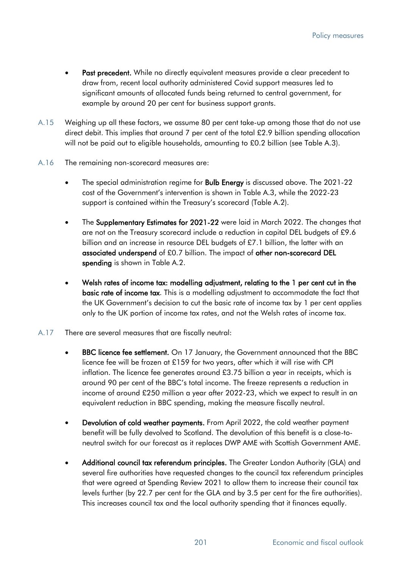- Past precedent. While no directly equivalent measures provide a clear precedent to draw from, recent local authority administered Covid support measures led to significant amounts of allocated funds being returned to central government, for example by around 20 per cent for business support grants.
- A.15 Weighing up all these factors, we assume 80 per cent take-up among those that do not use direct debit. This implies that around 7 per cent of the total £2.9 billion spending allocation will not be paid out to eligible households, amounting to £0.2 billion (see Table A.3).
- A.16 The remaining non-scorecard measures are:
	- The special administration regime for **Bulb Energy** is discussed above. The 2021-22 cost of the Government's intervention is shown in Table A.3, while the 2022-23 support is contained within the Treasury's scorecard (Table A.2).
	- The Supplementary Estimates for 2021-22 were laid in March 2022. The changes that are not on the Treasury scorecard include a reduction in capital DEL budgets of £9.6 billion and an increase in resource DEL budgets of £7.1 billion, the latter with an associated underspend of £0.7 billion. The impact of other non-scorecard DEL spending is shown in Table A.2.
	- Welsh rates of income tax: modelling adjustment, relating to the 1 per cent cut in the basic rate of income tax. This is a modelling adjustment to accommodate the fact that the UK Government's decision to cut the basic rate of income tax by 1 per cent applies only to the UK portion of income tax rates, and not the Welsh rates of income tax.
- A.17 There are several measures that are fiscally neutral:
	- BBC licence fee settlement. On 17 January, the Government announced that the BBC licence fee will be frozen at £159 for two years, after which it will rise with CPI inflation. The licence fee generates around £3.75 billion a year in receipts, which is around 90 per cent of the BBC's total income. The freeze represents a reduction in income of around £250 million a year after 2022-23, which we expect to result in an equivalent reduction in BBC spending, making the measure fiscally neutral.
	- Devolution of cold weather payments. From April 2022, the cold weather payment benefit will be fully devolved to Scotland. The devolution of this benefit is a close-toneutral switch for our forecast as it replaces DWP AME with Scottish Government AME.
	- Additional council tax referendum principles. The Greater London Authority (GLA) and several fire authorities have requested changes to the council tax referendum principles that were agreed at Spending Review 2021 to allow them to increase their council tax levels further (by 22.7 per cent for the GLA and by 3.5 per cent for the fire authorities). This increases council tax and the local authority spending that it finances equally.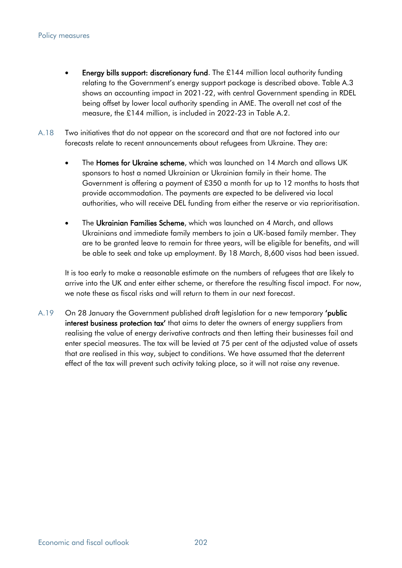- Energy bills support: discretionary fund. The £144 million local authority funding relating to the Government's energy support package is described above. Table A.3 shows an accounting impact in 2021-22, with central Government spending in RDEL being offset by lower local authority spending in AME. The overall net cost of the measure, the £144 million, is included in 2022-23 in Table A.2.
- A.18 Two initiatives that do not appear on the scorecard and that are not factored into our forecasts relate to recent announcements about refugees from Ukraine. They are:
	- The **Homes for Ukraine scheme**, which was launched on 14 March and allows UK sponsors to host a named Ukrainian or Ukrainian family in their home. The Government is offering a payment of £350 a month for up to 12 months to hosts that provide accommodation. The payments are expected to be delivered via local authorities, who will receive DEL funding from either the reserve or via reprioritisation.
	- The Ukrainian Families Scheme, which was launched on 4 March, and allows Ukrainians and immediate family members to join a UK-based family member. They are to be granted leave to remain for three years, will be eligible for benefits, and will be able to seek and take up employment. By 18 March, 8,600 visas had been issued.

It is too early to make a reasonable estimate on the numbers of refugees that are likely to arrive into the UK and enter either scheme, or therefore the resulting fiscal impact. For now, we note these as fiscal risks and will return to them in our next forecast.

A.19 On 28 January the Government published draft legislation for a new temporary 'public interest business protection tax' that aims to deter the owners of energy suppliers from realising the value of energy derivative contracts and then letting their businesses fail and enter special measures. The tax will be levied at 75 per cent of the adjusted value of assets that are realised in this way, subject to conditions. We have assumed that the deterrent effect of the tax will prevent such activity taking place, so it will not raise any revenue.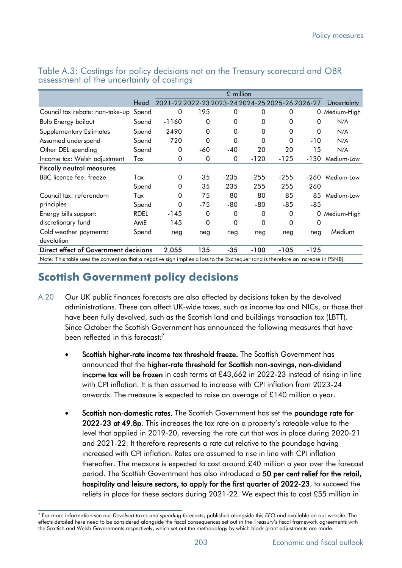|                                                                                                                                   |             | $£$ million  |                                                 |              |          |        |          |               |  |
|-----------------------------------------------------------------------------------------------------------------------------------|-------------|--------------|-------------------------------------------------|--------------|----------|--------|----------|---------------|--|
|                                                                                                                                   | Head        |              | 2021-22 2022-23 2023-24 2024-25 2025-26 2026-27 |              |          |        |          | Uncertainty   |  |
| Council tax rebate: non-take-up                                                                                                   | Spend       | 0            | 195                                             | 0            | 0        | 0      |          | 0 Medium-High |  |
| <b>Bulb Energy bailout</b>                                                                                                        | Spend       | $-1160$      | 0                                               | $\mathbf{0}$ | 0        | 0      | $\Omega$ | N/A           |  |
| <b>Supplementary Estimates</b>                                                                                                    | Spend       | 2490         | $\Omega$                                        | $\mathbf{0}$ | $\Omega$ | 0      | 0        | N/A           |  |
| Assumed underspend                                                                                                                | Spend       | 720          | 0                                               | $\Omega$     | $\Omega$ | 0      | $-10$    | N/A           |  |
| Other DEL spending                                                                                                                | Spend       | 0            | $-60$                                           | $-40$        | 20       | 20     | 15       | N/A           |  |
| Income tax: Welsh adjustment                                                                                                      | Tax         | 0            | 0                                               | 0            | -120     | $-125$ | $-130$   | Medium-Low    |  |
| <b>Fiscally neutral measures</b>                                                                                                  |             |              |                                                 |              |          |        |          |               |  |
| BBC licence fee: freeze                                                                                                           | Tax         | $\mathbf{0}$ | $-35$                                           | $-235$       | $-255$   | $-255$ | -260     | Medium-Low    |  |
|                                                                                                                                   | Spend       | $\Omega$     | 35                                              | 235          | 255      | 255    | 260      |               |  |
| Council tax: referendum                                                                                                           | Tax         | 0            | 75                                              | 80           | 80       | 85     | 85       | Medium-Low    |  |
| principles                                                                                                                        | Spend       | $\Omega$     | $-75$                                           | -80          | $-80$    | $-85$  | $-85$    |               |  |
| Energy bills support:                                                                                                             | <b>RDEL</b> | $-145$       | 0                                               | 0            | 0        | 0      | 0        | Medium-High   |  |
| discretionary fund                                                                                                                | AME         | 145          | 0                                               | $\Omega$     | $\Omega$ | 0      | 0        |               |  |
| Cold weather payments:                                                                                                            | Spend       | neg          | neg                                             | neg          | neg      | neg    | neg      | Medium        |  |
| devolution                                                                                                                        |             |              |                                                 |              |          |        |          |               |  |
| Direct effect of Government decisions                                                                                             |             | 2,055        | 135                                             | $-35$        | $-100$   | $-105$ | $-125$   |               |  |
| Note: This table uses the convention that a negative sign implies a loss to the Exchequer (and is therefore an increase in PSNB). |             |              |                                                 |              |          |        |          |               |  |

Table A.3: Costings for policy decisions not on the Treasury scorecard and OBR assessment of the uncertainty of costings 3

# **Scottish Government policy decisions**

- A.20 Our UK public finances forecasts are also affected by decisions taken by the devolved administrations. These can affect UK-wide taxes, such as income tax and NICs, or those that have been fully devolved, such as the Scottish land and buildings transaction tax (LBTT). Since October the Scottish Government has announced the following measures that have been reflected in this forecast:<sup>7</sup>
	- Scottish higher-rate income tax threshold freeze. The Scottish Government has announced that the higher-rate threshold for Scottish non-savings, non-dividend income tax will be frozen in cash terms at £43,662 in 2022-23 instead of rising in line with CPI inflation. It is then assumed to increase with CPI inflation from 2023-24 onwards. The measure is expected to raise an average of £140 million a year.
	- Scottish non-domestic rates. The Scottish Government has set the poundage rate for 2022-23 at 49.8p. This increases the tax rate on a property's rateable value to the level that applied in 2019-20, reversing the rate cut that was in place during 2020-21 and 2021-22. It therefore represents a rate cut relative to the poundage having increased with CPI inflation. Rates are assumed to rise in line with CPI inflation thereafter. The measure is expected to cost around £40 million a year over the forecast period. The Scottish Government has also introduced a 50 per cent relief for the retail, hospitality and leisure sectors, to apply for the first quarter of 2022-23, to succeed the reliefs in place for these sectors during 2021-22. We expect this to cost £55 million in

<sup>7</sup> For more information see our *Devolved taxes and spending forecasts*, published alongside this *EFO* and available on our website. The effects detailed here need to be considered alongside the fiscal consequences set out in the Treasury's fiscal framework agreements with the Scottish and Welsh Governments respectively, which set out the methodology by which block grant adjustments are made.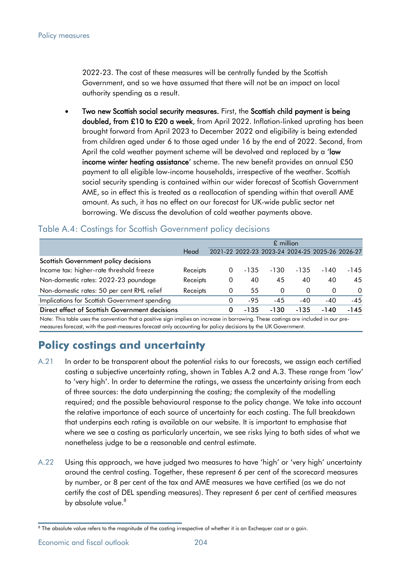2022-23. The cost of these measures will be centrally funded by the Scottish Government, and so we have assumed that there will not be an impact on local authority spending as a result.

• Two new Scottish social security measures. First, the Scottish child payment is being doubled, from £10 to £20 a week, from April 2022. Inflation-linked uprating has been brought forward from April 2023 to December 2022 and eligibility is being extended from children aged under 6 to those aged under 16 by the end of 2022. Second, from April the cold weather payment scheme will be devolved and replaced by a 'low income winter heating assistance' scheme. The new benefit provides an annual £50 payment to all eligible low-income households, irrespective of the weather. Scottish social security spending is contained within our wider forecast of Scottish Government AME, so in effect this is treated as a reallocation of spending within that overall AME amount. As such, it has no effect on our forecast for UK-wide public sector net borrowing. We discuss the devolution of cold weather payments above.

|                                                |          | £ million |                                                 |          |          |          |          |  |  |
|------------------------------------------------|----------|-----------|-------------------------------------------------|----------|----------|----------|----------|--|--|
|                                                | Head     |           | 2021-22 2022-23 2023-24 2024-25 2025-26 2026-27 |          |          |          |          |  |  |
| Scottish Government policy decisions           |          |           |                                                 |          |          |          |          |  |  |
| Income tax: higher-rate threshold freeze       | Receipts | 0         | -135                                            | -130     | $-135$   | -140     | -145     |  |  |
| Non-domestic rates: 2022-23 poundage           | Receipts | 0         | 40                                              | 45       | 40       | 40       | 45       |  |  |
| Non-domestic rates: 50 per cent RHL relief     | Receipts | 0         | 55                                              | $\Omega$ | $\Omega$ | $\Omega$ | $\Omega$ |  |  |
| Implications for Scottish Government spending  |          | 0         | $-9.5$                                          | $-4.5$   | $-40$    | -40      | $-45$    |  |  |
| Direct effect of Scottish Government decisions |          | 0         | -135                                            | -130     | $-135$   | -140     | $-145$   |  |  |
|                                                |          |           |                                                 |          |          |          |          |  |  |

# Table A.4: Costings for Scottish Government policy decisions

Note: This table uses the convention that a positive sign implies an increase in borrowing. These costings are included in our premeasures forecast, with the post-measures forecast only accounting for policy decisions by the UK Government.

# **Policy costings and uncertainty**

- A.21 In order to be transparent about the potential risks to our forecasts, we assign each certified costing a subjective uncertainty rating, shown in Tables A.2 and A.3. These range from 'low' to 'very high'. In order to determine the ratings, we assess the uncertainty arising from each of three sources: the data underpinning the costing; the complexity of the modelling required; and the possible behavioural response to the policy change. We take into account the relative importance of each source of uncertainty for each costing. The full breakdown that underpins each rating is available on our website. It is important to emphasise that where we see a costing as particularly uncertain, we see risks lying to both sides of what we nonetheless judge to be a reasonable and central estimate.
- A.22 Using this approach, we have judged two measures to have 'high' or 'very high' uncertainty around the central costing. Together, these represent 6 per cent of the scorecard measures by number, or 8 per cent of the tax and AME measures we have certified (as we do not certify the cost of DEL spending measures). They represent 6 per cent of certified measures by absolute value.<sup>8</sup>

Economic and fiscal outlook **204** 

<sup>&</sup>lt;sup>8</sup> The absolute value refers to the magnitude of the costing irrespective of whether it is an Exchequer cost or a gain.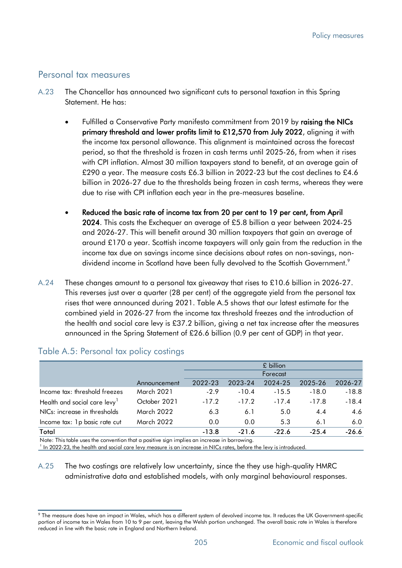#### Personal tax measures

- A.23 The Chancellor has announced two significant cuts to personal taxation in this Spring Statement. He has:
	- Fulfilled a Conservative Party manifesto commitment from 2019 by raising the NICs primary threshold and lower profits limit to £12,570 from July 2022, aligning it with the income tax personal allowance. This alignment is maintained across the forecast period, so that the threshold is frozen in cash terms until 2025-26, from when it rises with CPI inflation. Almost 30 million taxpayers stand to benefit, at an average gain of £290 a year. The measure costs £6.3 billion in 2022-23 but the cost declines to £4.6 billion in 2026-27 due to the thresholds being frozen in cash terms, whereas they were due to rise with CPI inflation each year in the pre-measures baseline.
	- Reduced the basic rate of income tax from 20 per cent to 19 per cent, from April 2024. This costs the Exchequer an average of £5.8 billion a year between 2024-25 and 2026-27. This will benefit around 30 million taxpayers that gain an average of around £170 a year. Scottish income taxpayers will only gain from the reduction in the income tax due on savings income since decisions about rates on non-savings, nondividend income in Scotland have been fully devolved to the Scottish Government.<sup>9</sup>
- A.24 These changes amount to a personal tax giveaway that rises to £10.6 billion in 2026-27. This reverses just over a quarter (28 per cent) of the aggregate yield from the personal tax rises that were announced during 2021. Table A.5 shows that our latest estimate for the combined yield in 2026-27 from the income tax threshold freezes and the introduction of the health and social care levy is £37.2 billion, giving a net tax increase after the measures announced in the Spring Statement of £26.6 billion (0.9 per cent of GDP) in that year.

|                                          |              | £ billion |         |         |         |         |  |  |
|------------------------------------------|--------------|-----------|---------|---------|---------|---------|--|--|
|                                          |              | Forecast  |         |         |         |         |  |  |
|                                          | Announcement | 2022-23   | 2023-24 | 2024-25 | 2025-26 | 2026-27 |  |  |
| Income tax: threshold freezes            | March 2021   | $-2.9$    | $-10.4$ | $-15.5$ | $-18.0$ | $-18.8$ |  |  |
| Health and social care levy <sup>1</sup> | October 2021 | $-17.2$   | $-17.2$ | $-17.4$ | $-17.8$ | $-18.4$ |  |  |
| NICs: increase in thresholds             | March 2022   | 6.3       | 6.1     | 5.0     | 4.4     | 4.6     |  |  |
| Income tax: 1p basic rate cut            | March 2022   | 0.0       | 0.0     | 5.3     | 6.1     | 6.0     |  |  |
| Total                                    |              | $-13.8$   | $-21.6$ | $-22.6$ | $-25.4$ | $-26.6$ |  |  |

#### Table A.5: Personal tax policy costings

Note: This table uses the convention that a positive sign implies an increase in borrowing.

<sup>1</sup> In 2022-23, the health and social care levy measure is an increase in NICs rates, before the levy is introduced.

A.25 The two costings are relatively low uncertainty, since the they use high-quality HMRC administrative data and established models, with only marginal behavioural responses.

<sup>9</sup> The measure does have an impact in Wales, which has a different system of devolved income tax. It reduces the UK Government-specific portion of income tax in Wales from 10 to 9 per cent, leaving the Welsh portion unchanged. The overall basic rate in Wales is therefore reduced in line with the basic rate in England and Northern Ireland.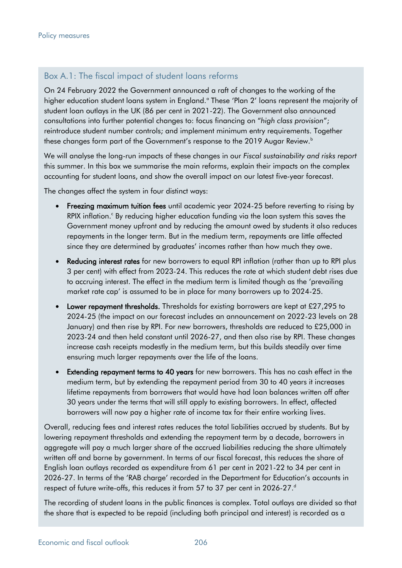## Box A.1: The fiscal impact of student loans reforms

On 24 February 2022 the Government announced a raft of changes to the working of the higher education student loans system in England.<sup>ª</sup> These 'Plan 2' loans represent the majority of student loan outlays in the UK (86 per cent in 2021-22). The Government also announced consultations into further potential changes to: focus financing on "*high class provision*"; reintroduce student number controls; and implement minimum entry requirements. Together these changes form part of the Government's response to the 2019 Augar Review.<sup>b</sup>

We will analyse the long-run impacts of these changes in our *Fiscal sustainability and risks report*  this summer. In this box we summarise the main reforms, explain their impacts on the complex accounting for student loans, and show the overall impact on our latest five-year forecast.

The changes affect the system in four distinct ways:

- Freezing maximum tuition fees until academic year 2024-25 before reverting to rising by RPIX inflation.<sup>c</sup> By reducing higher education funding via the loan system this saves the Government money upfront and by reducing the amount owed by students it also reduces repayments in the longer term. But in the medium term, repayments are little affected since they are determined by graduates' incomes rather than how much they owe.
- Reducing interest rates for new borrowers to equal RPI inflation (rather than up to RPI plus 3 per cent) with effect from 2023-24. This reduces the rate at which student debt rises due to accruing interest. The effect in the medium term is limited though as the 'prevailing market rate cap' is assumed to be in place for many borrowers up to 2024-25.
- Lower repayment thresholds. Thresholds for *existing* borrowers are kept at £27,295 to 2024-25 (the impact on our forecast includes an announcement on 2022-23 levels on 28 January) and then rise by RPI. For *new* borrowers, thresholds are reduced to £25,000 in 2023-24 and then held constant until 2026-27, and then also rise by RPI. These changes increase cash receipts modestly in the medium term, but this builds steadily over time ensuring much larger repayments over the life of the loans.
- **Extending repayment terms to 40 years** for new borrowers. This has no cash effect in the medium term, but by extending the repayment period from 30 to 40 years it increases lifetime repayments from borrowers that would have had loan balances written off after 30 years under the terms that will still apply to existing borrowers. In effect, affected borrowers will now pay a higher rate of income tax for their entire working lives.

Overall, reducing fees and interest rates reduces the total liabilities accrued by students. But by lowering repayment thresholds and extending the repayment term by a decade, borrowers in aggregate will pay a much larger share of the accrued liabilities reducing the share ultimately written off and borne by government. In terms of our fiscal forecast, this reduces the share of English loan outlays recorded as expenditure from 61 per cent in 2021-22 to 34 per cent in 2026-27. In terms of the 'RAB charge' recorded in the Department for Education's accounts in respect of future write-offs, this reduces it from 57 to 37 per cent in 2026-27.<sup>d</sup>

The recording of student loans in the public finances is complex. Total outlays are divided so that the share that is expected to be repaid (including both principal and interest) is recorded as a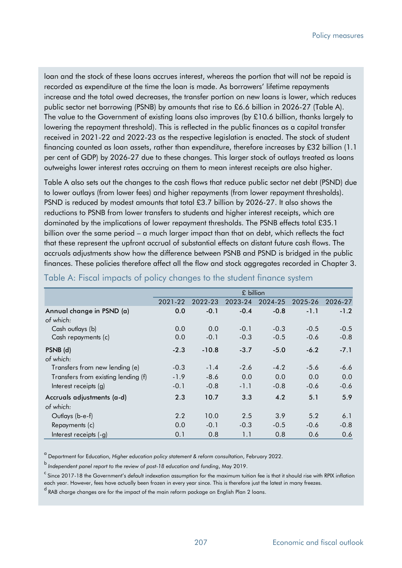loan and the stock of these loans accrues interest, whereas the portion that will not be repaid is recorded as expenditure at the time the loan is made. As borrowers' lifetime repayments increase and the total owed decreases, the transfer portion on new loans is lower, which reduces public sector net borrowing (PSNB) by amounts that rise to £6.6 billion in 2026-27 (Table A). The value to the Government of existing loans also improves (by £10.6 billion, thanks largely to lowering the repayment threshold). This is reflected in the public finances as a capital transfer received in 2021-22 and 2022-23 as the respective legislation is enacted. The stock of student financing counted as loan assets, rather than expenditure, therefore increases by £32 billion (1.1 per cent of GDP) by 2026-27 due to these changes. This larger stock of outlays treated as loans outweighs lower interest rates accruing on them to mean interest receipts are also higher.

Table A also sets out the changes to the cash flows that reduce public sector net debt (PSND) due to lower outlays (from lower fees) and higher repayments (from lower repayment thresholds). PSND is reduced by modest amounts that total £3.7 billion by 2026-27. It also shows the reductions to PSNB from lower transfers to students and higher interest receipts, which are dominated by the implications of lower repayment thresholds. The PSNB effects total £35.1 billion over the same period – a much larger impact than that on debt, which reflects the fact that these represent the upfront accrual of substantial effects on distant future cash flows. The accruals adjustments show how the difference between PSNB and PSND is bridged in the public finances. These policies therefore affect all the flow and stock aggregates recorded in Chapter 3.

|                                     | £ billion |         |         |         |         |         |  |  |  |
|-------------------------------------|-----------|---------|---------|---------|---------|---------|--|--|--|
|                                     | 2021-22   | 2022-23 | 2023-24 | 2024-25 | 2025-26 | 2026-27 |  |  |  |
| Annual change in PSND (a)           | 0.0       | $-0.1$  | $-0.4$  | $-0.8$  | $-1.1$  | $-1.2$  |  |  |  |
| of which:                           |           |         |         |         |         |         |  |  |  |
| Cash outlays (b)                    | 0.0       | 0.0     | $-0.1$  | $-0.3$  | $-0.5$  | $-0.5$  |  |  |  |
| Cash repayments (c)                 | 0.0       | $-0.1$  | $-0.3$  | $-0.5$  | $-0.6$  | $-0.8$  |  |  |  |
| PSNB (d)                            | $-2.3$    | $-10.8$ | $-3.7$  | $-5.0$  | $-6.2$  | $-7.1$  |  |  |  |
| of which:                           |           |         |         |         |         |         |  |  |  |
| Transfers from new lending (e)      | $-0.3$    | $-1.4$  | $-2.6$  | $-4.2$  | $-5.6$  | $-6.6$  |  |  |  |
| Transfers from existing lending (f) | $-1.9$    | $-8.6$  | 0.0     | 0.0     | 0.0     | 0.0     |  |  |  |
| Interest receipts (g)               | $-0.1$    | $-0.8$  | $-1.1$  | $-0.8$  | $-0.6$  | $-0.6$  |  |  |  |
| Accruals adjustments (a-d)          | 2.3       | 10.7    | 3.3     | 4.2     | 5.1     | 5.9     |  |  |  |
| of which:                           |           |         |         |         |         |         |  |  |  |
| Outlays (b-e-f)                     | 2.2       | 10.0    | 2.5     | 3.9     | 5.2     | 6.1     |  |  |  |
| Repayments (c)                      | 0.0       | $-0.1$  | $-0.3$  | $-0.5$  | $-0.6$  | $-0.8$  |  |  |  |
| Interest receipts (-g)              | 0.1       | 0.8     | 1.1     | 0.8     | 0.6     | 0.6     |  |  |  |

#### Table A: Fiscal impacts of policy changes to the student finance system

<sup>a</sup> Department for Education, *Higher education policy statement & reform consultation*, February 2022.

<sup>b</sup>*Independent panel report to the review of post-18 education and funding*, May 2019.

 $\textdegree$  Since 2017-18 the Government's default indexation assumption for the maximum tuition fee is that it should rise with RPIX inflation each year. However, fees have actually been frozen in every year since. This is therefore just the latest in many freezes.

<sup>d</sup> RAB charge changes are for the impact of the main reform package on English Plan 2 loans.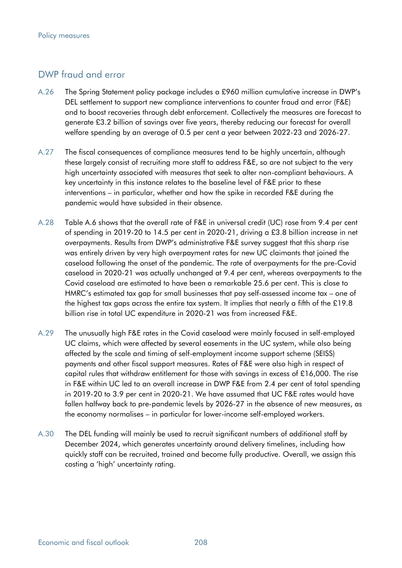# DWP fraud and error

- A.26 The Spring Statement policy package includes a £960 million cumulative increase in DWP's DEL settlement to support new compliance interventions to counter fraud and error (F&E) and to boost recoveries through debt enforcement. Collectively the measures are forecast to generate £3.2 billion of savings over five years, thereby reducing our forecast for overall welfare spending by an average of 0.5 per cent a year between 2022-23 and 2026-27.
- A.27 The fiscal consequences of compliance measures tend to be highly uncertain, although these largely consist of recruiting more staff to address F&E, so are not subject to the very high uncertainty associated with measures that seek to alter non-compliant behaviours. A key uncertainty in this instance relates to the baseline level of F&E prior to these interventions – in particular, whether and how the spike in recorded F&E during the pandemic would have subsided in their absence.
- A.28 Table A.6 shows that the overall rate of F&E in universal credit (UC) rose from 9.4 per cent of spending in 2019-20 to 14.5 per cent in 2020-21, driving a £3.8 billion increase in net overpayments. Results from DWP's administrative F&E survey suggest that this sharp rise was entirely driven by very high overpayment rates for new UC claimants that joined the caseload following the onset of the pandemic. The rate of overpayments for the pre-Covid caseload in 2020-21 was actually unchanged at 9.4 per cent, whereas overpayments to the Covid caseload are estimated to have been a remarkable 25.6 per cent. This is close to HMRC's estimated tax gap for small businesses that pay self-assessed income tax – one of the highest tax gaps across the entire tax system. It implies that nearly a fifth of the £19.8 billion rise in total UC expenditure in 2020-21 was from increased F&E.
- A.29 The unusually high F&E rates in the Covid caseload were mainly focused in self-employed UC claims, which were affected by several easements in the UC system, while also being affected by the scale and timing of self-employment income support scheme (SEISS) payments and other fiscal support measures. Rates of F&E were also high in respect of capital rules that withdraw entitlement for those with savings in excess of £16,000. The rise in F&E within UC led to an overall increase in DWP F&E from 2.4 per cent of total spending in 2019-20 to 3.9 per cent in 2020-21. We have assumed that UC F&E rates would have fallen halfway back to pre-pandemic levels by 2026-27 in the absence of new measures, as the economy normalises – in particular for lower-income self-employed workers.
- A.30 The DEL funding will mainly be used to recruit significant numbers of additional staff by December 2024, which generates uncertainty around delivery timelines, including how quickly staff can be recruited, trained and become fully productive. Overall, we assign this costing a 'high' uncertainty rating.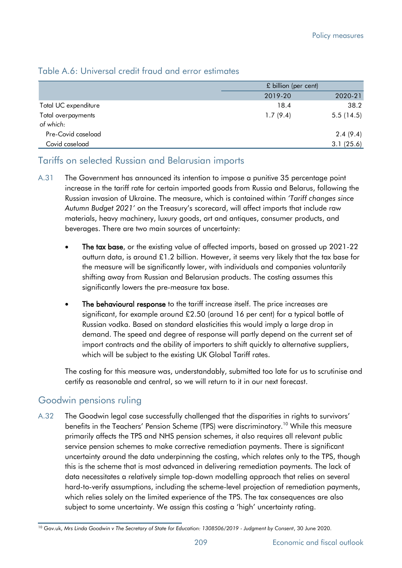### Table A.6: Universal credit fraud and error estimates

|                      | £ billion (per cent) |           |  |
|----------------------|----------------------|-----------|--|
|                      | 2019-20              | 2020-21   |  |
| Total UC expenditure | 18.4                 | 38.2      |  |
| Total overpayments   | 1.7(9.4)             | 5.5(14.5) |  |
| of which:            |                      |           |  |
| Pre-Covid caseload   |                      | 2.4(9.4)  |  |
| Covid caseload       |                      | 3.1(25.6) |  |

# Tariffs on selected Russian and Belarusian imports

- A.31 The Government has announced its intention to impose a punitive 35 percentage point increase in the tariff rate for certain imported goods from Russia and Belarus, following the Russian invasion of Ukraine. The measure, which is contained within *'Tariff changes since Autumn Budget 2021'* on the Treasury's scorecard, will affect imports that include raw materials, heavy machinery, luxury goods, art and antiques, consumer products, and beverages. There are two main sources of uncertainty:
	- The tax base, or the existing value of affected imports, based on grossed up 2021-22 outturn data, is around £1.2 billion. However, it seems very likely that the tax base for the measure will be significantly lower, with individuals and companies voluntarily shifting away from Russian and Belarusian products. The costing assumes this significantly lowers the pre-measure tax base.
	- The behavioural response to the tariff increase itself. The price increases are significant, for example around £2.50 (around 16 per cent) for a typical bottle of Russian vodka. Based on standard elasticities this would imply a large drop in demand. The speed and degree of response will partly depend on the current set of import contracts and the ability of importers to shift quickly to alternative suppliers, which will be subject to the existing UK Global Tariff rates.

The costing for this measure was, understandably, submitted too late for us to scrutinise and certify as reasonable and central, so we will return to it in our next forecast.

## Goodwin pensions ruling

A.32 The Goodwin legal case successfully challenged that the disparities in rights to survivors' benefits in the Teachers' Pension Scheme (TPS) were discriminatory.<sup>10</sup> While this measure primarily affects the TPS and NHS pension schemes, it also requires all relevant public service pension schemes to make corrective remediation payments. There is significant uncertainty around the data underpinning the costing, which relates only to the TPS, though this is the scheme that is most advanced in delivering remediation payments. The lack of data necessitates a relatively simple top-down modelling approach that relies on several hard-to-verify assumptions, including the scheme-level projection of remediation payments, which relies solely on the limited experience of the TPS. The tax consequences are also subject to some uncertainty. We assign this costing a 'high' uncertainty rating. Total UC expendions<br>
10 Governoments<br>
10 Governoments<br>
10 Governoments<br>
10 Governoments<br>
10 Governoments<br>
10 Governoments<br>
10 Governoments<br>
10 Governoments<br>
10 Governoments<br>
10 Governoments<br>
10 Governoments<br>
10 Governoment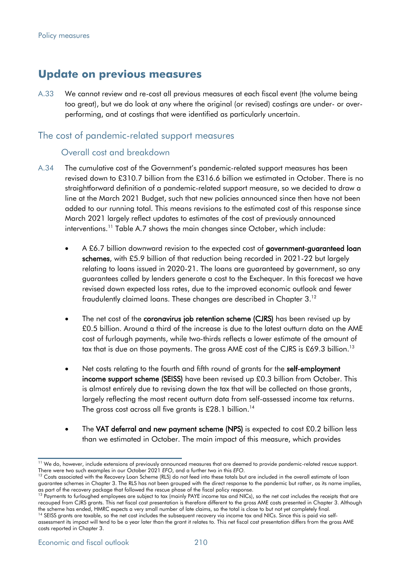# **Update on previous measures**

A.33 We cannot review and re-cost all previous measures at each fiscal event (the volume being too great), but we do look at any where the original (or revised) costings are under- or overperforming, and at costings that were identified as particularly uncertain.

## The cost of pandemic-related support measures

#### Overall cost and breakdown

- A.34 The cumulative cost of the Government's pandemic-related support measures has been revised down to £310.7 billion from the £316.6 billion we estimated in October. There is no straightforward definition of a pandemic-related support measure, so we decided to draw a line at the March 2021 Budget, such that new policies announced since then have not been added to our running total. This means revisions to the estimated cost of this response since March 2021 largely reflect updates to estimates of the cost of previously announced interventions.<sup>11</sup> Table A.7 shows the main changes since October, which include:
	- A £6.7 billion downward revision to the expected cost of government-guaranteed loan schemes, with £5.9 billion of that reduction being recorded in 2021-22 but largely relating to loans issued in 2020-21. The loans are guaranteed by government, so any guarantees called by lenders generate a cost to the Exchequer. In this forecast we have revised down expected loss rates, due to the improved economic outlook and fewer fraudulently claimed loans. These changes are described in Chapter 3.<sup>12</sup>
	- The net cost of the coronavirus job retention scheme (CJRS) has been revised up by £0.5 billion. Around a third of the increase is due to the latest outturn data on the AME cost of furlough payments, while two-thirds reflects a lower estimate of the amount of tax that is due on those payments. The gross AME cost of the CJRS is £69.3 billion.<sup>13</sup>
	- Net costs relating to the fourth and fifth round of grants for the self-employment income support scheme (SEISS) have been revised up £0.3 billion from October. This is almost entirely due to revising down the tax that will be collected on those grants, largely reflecting the most recent outturn data from self-assessed income tax returns. The gross cost across all five grants is £28.1 billion.<sup>14</sup>
	- The VAT deferral and new payment scheme (NPS) is expected to cost £0.2 billion less than we estimated in October. The main impact of this measure, which provides

<sup>&</sup>lt;sup>11</sup> We do, however, include extensions of previously announced measures that are deemed to provide pandemic-related rescue support. There were two such examples in our October 2021 *EFO*, and a further two in this *EFO*.

<sup>&</sup>lt;sup>12</sup> Costs associated with the Recovery Loan Scheme (RLS) do not feed into these totals but are included in the overall estimate of loan guarantee schemes in Chapter 3. The RLS has not been grouped with the direct response to the pandemic but rather, as its name implies, as part of the recovery package that followed the rescue phase of the fiscal policy response.

<sup>&</sup>lt;sup>13</sup> Payments to furloughed employees are subject to tax (mainly PAYE income tax and NICs), so the net cost includes the receipts that are recouped from CJRS grants. This net fiscal cost presentation is therefore different to the gross AME costs presented in Chapter 3. Although the scheme has ended, HMRC expects a very small number of late claims, so the total is close to but not yet completely final.

<sup>&</sup>lt;sup>14</sup> SEISS grants are taxable, so the net cost includes the subsequent recovery via income tax and NICs. Since this is paid via selfassessment its impact will tend to be a year later than the grant it relates to. This net fiscal cost presentation differs from the gross AME costs reported in Chapter 3.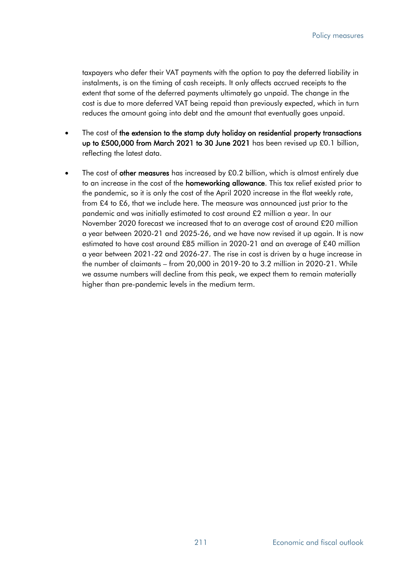taxpayers who defer their VAT payments with the option to pay the deferred liability in instalments, is on the timing of cash receipts. It only affects accrued receipts to the extent that some of the deferred payments ultimately go unpaid. The change in the cost is due to more deferred VAT being repaid than previously expected, which in turn reduces the amount going into debt and the amount that eventually goes unpaid.

- The cost of the extension to the stamp duty holiday on residential property transactions up to £500,000 from March 2021 to 30 June 2021 has been revised up £0.1 billion, reflecting the latest data.
- The cost of other measures has increased by £0.2 billion, which is almost entirely due to an increase in the cost of the homeworking allowance. This tax relief existed prior to the pandemic, so it is only the cost of the April 2020 increase in the flat weekly rate, from £4 to £6, that we include here. The measure was announced just prior to the pandemic and was initially estimated to cost around £2 million a year. In our November 2020 forecast we increased that to an average cost of around £20 million a year between 2020-21 and 2025-26, and we have now revised it up again. It is now estimated to have cost around £85 million in 2020-21 and an average of £40 million a year between 2021-22 and 2026-27. The rise in cost is driven by a huge increase in the number of claimants – from 20,000 in 2019-20 to 3.2 million in 2020-21. While we assume numbers will decline from this peak, we expect them to remain materially higher than pre-pandemic levels in the medium term.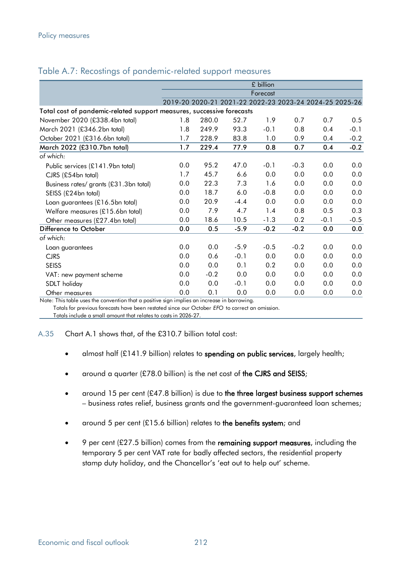|                                                                       | £ billion |        |        |          |                                                         |        |        |  |  |
|-----------------------------------------------------------------------|-----------|--------|--------|----------|---------------------------------------------------------|--------|--------|--|--|
|                                                                       |           |        |        | Forecast |                                                         |        |        |  |  |
|                                                                       |           |        |        |          | 2019-20 2020-21 2021-22 2022-23 2023-24 2024-25 2025-26 |        |        |  |  |
| Total cost of pandemic-related support measures, successive forecasts |           |        |        |          |                                                         |        |        |  |  |
| November 2020 (£338.4bn total)                                        | 1.8       | 280.0  | 52.7   | 1.9      | 0.7                                                     | 0.7    | 0.5    |  |  |
| March 2021 (£346.2bn total)                                           | 1.8       | 249.9  | 93.3   | $-0.1$   | 0.8                                                     | 0.4    | $-0.1$ |  |  |
| October 2021 (£316.6bn total)                                         | 1.7       | 228.9  | 83.8   | 1.0      | 0.9                                                     | 0.4    | $-0.2$ |  |  |
| March 2022 (£310.7bn total)                                           | 1.7       | 229.4  | 77.9   | 0.8      | 0.7                                                     | 0.4    | $-0.2$ |  |  |
| of which:                                                             |           |        |        |          |                                                         |        |        |  |  |
| Public services (£141.9bn total)                                      | 0.0       | 95.2   | 47.0   | $-0.1$   | $-0.3$                                                  | 0.0    | 0.0    |  |  |
| CJRS (£54bn total)                                                    | 1.7       | 45.7   | 6.6    | 0.0      | 0.0                                                     | 0.0    | 0.0    |  |  |
| Business rates/ grants (£31.3bn total)                                | 0.0       | 22.3   | 7.3    | 1.6      | 0.0                                                     | 0.0    | 0.0    |  |  |
| SEISS (£24bn total)                                                   | 0.0       | 18.7   | 6.0    | $-0.8$   | 0.0                                                     | 0.0    | 0.0    |  |  |
| Loan guarantees (£16.5bn total)                                       | 0.0       | 20.9   | $-4.4$ | 0.0      | 0.0                                                     | 0.0    | 0.0    |  |  |
| Welfare measures (£15.6bn total)                                      | 0.0       | 7.9    | 4.7    | 1.4      | 0.8                                                     | 0.5    | 0.3    |  |  |
| Other measures (£27.4bn total)                                        | 0.0       | 18.6   | 10.5   | $-1.3$   | 0.2                                                     | $-0.1$ | $-0.5$ |  |  |
| Difference to October                                                 | 0.0       | 0.5    | $-5.9$ | $-0.2$   | $-0.2$                                                  | 0.0    | 0.0    |  |  |
| of which:                                                             |           |        |        |          |                                                         |        |        |  |  |
| Loan guarantees                                                       | 0.0       | 0.0    | $-5.9$ | $-0.5$   | $-0.2$                                                  | 0.0    | 0.0    |  |  |
| <b>CJRS</b>                                                           | 0.0       | 0.6    | $-0.1$ | 0.0      | 0.0                                                     | 0.0    | 0.0    |  |  |
| <b>SEISS</b>                                                          | 0.0       | 0.0    | 0.1    | 0.2      | 0.0                                                     | 0.0    | 0.0    |  |  |
| VAT: new payment scheme                                               | 0.0       | $-0.2$ | 0.0    | 0.0      | 0.0                                                     | 0.0    | 0.0    |  |  |
| SDLT holiday                                                          | 0.0       | 0.0    | $-0.1$ | 0.0      | 0.0                                                     | 0.0    | 0.0    |  |  |
| Other measures                                                        | 0.0       | 0.1    | 0.0    | 0.0      | 0.0                                                     | 0.0    | 0.0    |  |  |

#### Table A.7: Recostings of pandemic-related support measures

Note: This table uses the convention that a positive sign implies an increase in borrowing.

Totals for previous forecasts have been restated since our October *EFO* to correct an omission.

Totals include a small amount that relates to costs in 2026-27.

A.35 Chart A.1 shows that, of the £310.7 billion total cost:

- almost half  $(E141.9$  billion) relates to spending on public services, largely health;
- around a quarter (£78.0 billion) is the net cost of the CJRS and SEISS;
- around 15 per cent (£47.8 billion) is due to the three largest business support schemes – business rates relief, business grants and the government-guaranteed loan schemes;
- around 5 per cent (£15.6 billion) relates to the benefits system; and
- 9 per cent  $(E27.5 \text{ billion})$  comes from the remaining support measures, including the temporary 5 per cent VAT rate for badly affected sectors, the residential property stamp duty holiday, and the Chancellor's 'eat out to help out' scheme.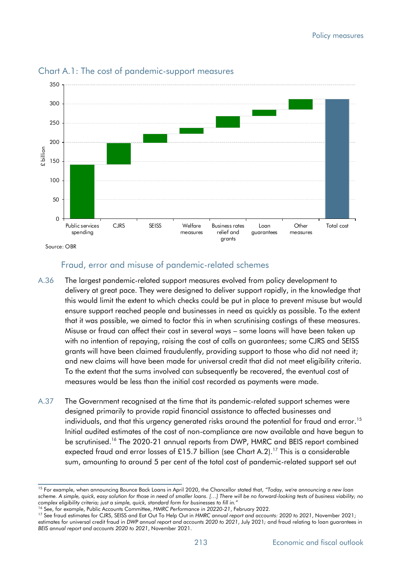

#### Chart A.1: The cost of pandemic-support measures

Source: OBR

#### Fraud, error and misuse of pandemic-related schemes

- A.36 The largest pandemic-related support measures evolved from policy development to delivery at great pace. They were designed to deliver support rapidly, in the knowledge that this would limit the extent to which checks could be put in place to prevent misuse but would ensure support reached people and businesses in need as quickly as possible. To the extent that it was possible, we aimed to factor this in when scrutinising costings of these measures. Misuse or fraud can affect their cost in several ways – some loans will have been taken up with no intention of repaying, raising the cost of calls on guarantees; some CJRS and SEISS grants will have been claimed fraudulently, providing support to those who did not need it; and new claims will have been made for universal credit that did not meet eligibility criteria. To the extent that the sums involved can subsequently be recovered, the eventual cost of measures would be less than the initial cost recorded as payments were made.
- A.37 The Government recognised at the time that its pandemic-related support schemes were designed primarily to provide rapid financial assistance to affected businesses and individuals, and that this urgency generated risks around the potential for fraud and error.<sup>15</sup> Initial audited estimates of the cost of non-compliance are now available and have begun to be scrutinised.<sup>16</sup> The 2020-21 annual reports from DWP, HMRC and BEIS report combined expected fraud and error losses of £15.7 billion (see Chart A.2).<sup>17</sup> This is a considerable sum, amounting to around 5 per cent of the total cost of pandemic-related support set out

<sup>15</sup> For example, when announcing Bounce Back Loans in April 2020, the Chancellor stated that, *"Today, we're announcing a new loan scheme. A simple, quick, easy solution for those in need of smaller loans. […] There will be no forward-looking tests of business viability; no complex eligibility criteria; just a simple, quick, standard form for businesses to fill in."*

<sup>16</sup> See, for example, Public Accounts Committee, *HMRC Performance in 20220-21*, February 2022.

<sup>17</sup> See fraud estimates for CJRS, SEISS and Eat Out To Help Out in *HMRC annual report and accounts: 2020 to 2021*, November 2021; estimates for universal credit fraud in *DWP annual report and accounts 2020 to 2021*, July 2021*;* and fraud relating to loan guarantees in *BEIS annual report and accounts 2020 to 2021*, November 2021.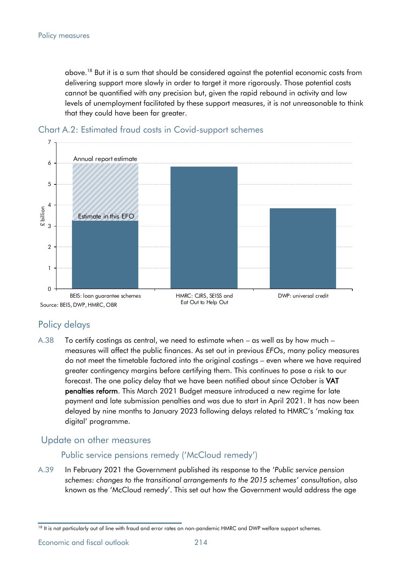above.<sup>18</sup> But it is a sum that should be considered against the potential economic costs from delivering support more slowly in order to target it more rigorously. Those potential costs cannot be quantified with any precision but, given the rapid rebound in activity and low levels of unemployment facilitated by these support measures, it is not unreasonable to think that they could have been far greater.





# Policy delays

A.38 To certify costings as central, we need to estimate when – as well as by how much – measures will affect the public finances. As set out in previous *EFO*s, many policy measures do not meet the timetable factored into the original costings – even where we have required greater contingency margins before certifying them. This continues to pose a risk to our forecast. The one policy delay that we have been notified about since October is VAT penalties reform. This March 2021 Budget measure introduced a new regime for late payment and late submission penalties and was due to start in April 2021. It has now been delayed by nine months to January 2023 following delays related to HMRC's 'making tax digital' programme.

# Update on other measures

#### Public service pensions remedy ('McCloud remedy')

A.39 In February 2021 the Government published its response to the '*Public service pension schemes: changes to the transitional arrangements to the 2015 schemes*' consultation, also known as the 'McCloud remedy'. This set out how the Government would address the age

Economic and fiscal outlook **214** 

<sup>&</sup>lt;sup>18</sup> It is not particularly out of line with fraud and error rates on non-pandemic HMRC and DWP welfare support schemes.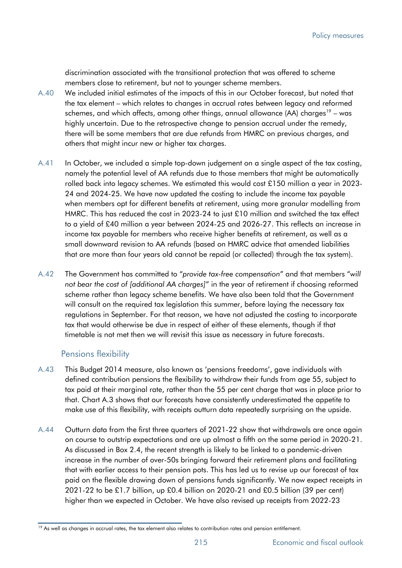discrimination associated with the transitional protection that was offered to scheme members close to retirement, but not to younger scheme members.

- A.40 We included initial estimates of the impacts of this in our October forecast, but noted that the tax element – which relates to changes in accrual rates between legacy and reformed schemes, and which affects, among other things, annual allowance (AA) charges<sup>19</sup> – was highly uncertain. Due to the retrospective change to pension accrual under the remedy, there will be some members that are due refunds from HMRC on previous charges, and others that might incur new or higher tax charges.
- A.41 In October, we included a simple top-down judgement on a single aspect of the tax costing, namely the potential level of AA refunds due to those members that might be automatically rolled back into legacy schemes. We estimated this would cost £150 million a year in 2023- 24 and 2024-25. We have now updated the costing to include the income tax payable when members opt for different benefits at retirement, using more granular modelling from HMRC. This has reduced the cost in 2023-24 to just £10 million and switched the tax effect to a yield of £40 million a year between 2024-25 and 2026-27. This reflects an increase in income tax payable for members who receive higher benefits at retirement, as well as a small downward revision to AA refunds (based on HMRC advice that amended liabilities that are more than four years old cannot be repaid (or collected) through the tax system).
- A.42 The Government has committed to "*provide tax-free compensation*" and that members "*will not bear the cost of [additional AA charges]*" in the year of retirement if choosing reformed scheme rather than legacy scheme benefits. We have also been told that the Government will consult on the required tax legislation this summer, before laying the necessary tax regulations in September. For that reason, we have not adjusted the costing to incorporate tax that would otherwise be due in respect of either of these elements, though if that timetable is not met then we will revisit this issue as necessary in future forecasts.

#### Pensions flexibility

- A.43 This Budget 2014 measure, also known as 'pensions freedoms', gave individuals with defined contribution pensions the flexibility to withdraw their funds from age 55, subject to tax paid at their marginal rate, rather than the 55 per cent charge that was in place prior to that. Chart A.3 shows that our forecasts have consistently underestimated the appetite to make use of this flexibility, with receipts outturn data repeatedly surprising on the upside.
- A.44 Outturn data from the first three quarters of 2021-22 show that withdrawals are once again on course to outstrip expectations and are up almost a fifth on the same period in 2020-21. As discussed in Box 2.4, the recent strength is likely to be linked to a pandemic-driven increase in the number of over-50s bringing forward their retirement plans and facilitating that with earlier access to their pension pots. This has led us to revise up our forecast of tax paid on the flexible drawing down of pensions funds significantly. We now expect receipts in 2021-22 to be £1.7 billion, up £0.4 billion on 2020-21 and £0.5 billion (39 per cent) higher than we expected in October. We have also revised up receipts from 2022-23

<sup>&</sup>lt;sup>19</sup> As well as changes in accrual rates, the tax element also relates to contribution rates and pension entitlement.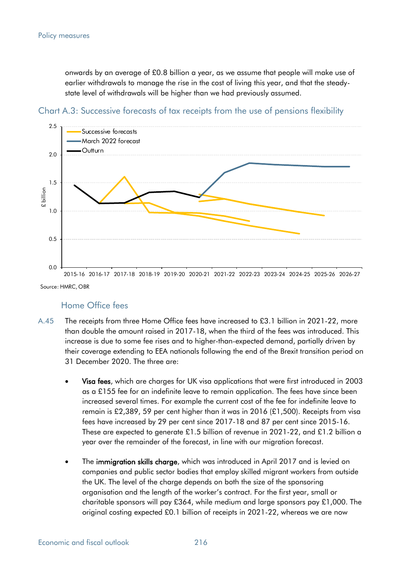onwards by an average of £0.8 billion a year, as we assume that people will make use of earlier withdrawals to manage the rise in the cost of living this year, and that the steadystate level of withdrawals will be higher than we had previously assumed.



Chart A.3: Successive forecasts of tax receipts from the use of pensions flexibility

Source: HMRC, OBR

#### Home Office fees

- A.45 The receipts from three Home Office fees have increased to £3.1 billion in 2021-22, more than double the amount raised in 2017-18, when the third of the fees was introduced. This increase is due to some fee rises and to higher-than-expected demand, partially driven by their coverage extending to EEA nationals following the end of the Brexit transition period on 31 December 2020. The three are:
	- Visa fees, which are charges for UK visa applications that were first introduced in 2003 as a £155 fee for an indefinite leave to remain application. The fees have since been increased several times. For example the current cost of the fee for indefinite leave to remain is £2,389, 59 per cent higher than it was in 2016 (£1,500). Receipts from visa fees have increased by 29 per cent since 2017-18 and 87 per cent since 2015-16. These are expected to generate £1.5 billion of revenue in 2021-22, and £1.2 billion a year over the remainder of the forecast, in line with our migration forecast.
	- The **immigration skills charge**, which was introduced in April 2017 and is levied on companies and public sector bodies that employ skilled migrant workers from outside the UK. The level of the charge depends on both the size of the sponsoring organisation and the length of the worker's contract. For the first year, small or charitable sponsors will pay £364, while medium and large sponsors pay £1,000. The original costing expected £0.1 billion of receipts in 2021-22, whereas we are now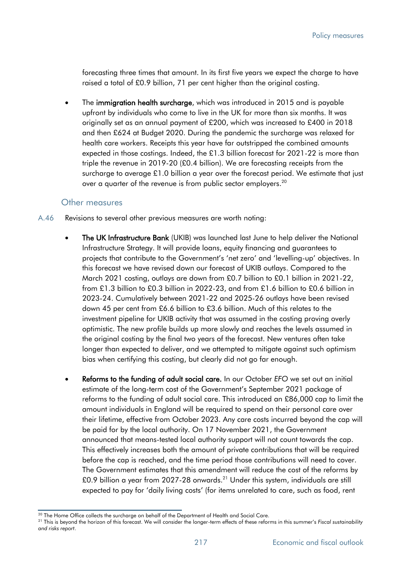forecasting three times that amount. In its first five years we expect the charge to have raised a total of £0.9 billion, 71 per cent higher than the original costing.

The immigration health surcharge, which was introduced in 2015 and is payable upfront by individuals who come to live in the UK for more than six months. It was originally set as an annual payment of £200, which was increased to £400 in 2018 and then £624 at Budget 2020. During the pandemic the surcharge was relaxed for health care workers. Receipts this year have far outstripped the combined amounts expected in those costings. Indeed, the £1.3 billion forecast for 2021-22 is more than triple the revenue in 2019-20 (£0.4 billion). We are forecasting receipts from the surcharge to average £1.0 billion a year over the forecast period. We estimate that just over a quarter of the revenue is from public sector employers.<sup>20</sup>

#### Other measures

- A.46 Revisions to several other previous measures are worth noting:
	- The UK Infrastructure Bank (UKIB) was launched last June to help deliver the National Infrastructure Strategy. It will provide loans, equity financing and guarantees to projects that contribute to the Government's 'net zero' and 'levelling-up' objectives. In this forecast we have revised down our forecast of UKIB outlays. Compared to the March 2021 costing, outlays are down from £0.7 billion to £0.1 billion in 2021-22, from £1.3 billion to £0.3 billion in 2022-23, and from £1.6 billion to £0.6 billion in 2023-24. Cumulatively between 2021-22 and 2025-26 outlays have been revised down 45 per cent from £6.6 billion to £3.6 billion. Much of this relates to the investment pipeline for UKIB activity that was assumed in the costing proving overly optimistic. The new profile builds up more slowly and reaches the levels assumed in the original costing by the final two years of the forecast. New ventures often take longer than expected to deliver, and we attempted to mitigate against such optimism bias when certifying this costing, but clearly did not go far enough.
	- Reforms to the funding of adult social care. In our October *EFO* we set out an initial estimate of the long-term cost of the Government's September 2021 package of reforms to the funding of adult social care. This introduced an £86,000 cap to limit the amount individuals in England will be required to spend on their personal care over their lifetime, effective from October 2023. Any care costs incurred beyond the cap will be paid for by the local authority. On 17 November 2021, the Government announced that means-tested local authority support will not count towards the cap. This effectively increases both the amount of private contributions that will be required before the cap is reached, and the time period those contributions will need to cover. The Government estimates that this amendment will reduce the cost of the reforms by £0.9 billion a year from 2027-28 onwards.<sup>21</sup> Under this system, individuals are still expected to pay for 'daily living costs' (for items unrelated to care, such as food, rent

<sup>&</sup>lt;sup>20</sup> The Home Office collects the surcharge on behalf of the Department of Health and Social Care.

<sup>21</sup> This is beyond the horizon of this forecast. We will consider the longer-term effects of these reforms in this summer's *Fiscal sustainability and risks report*.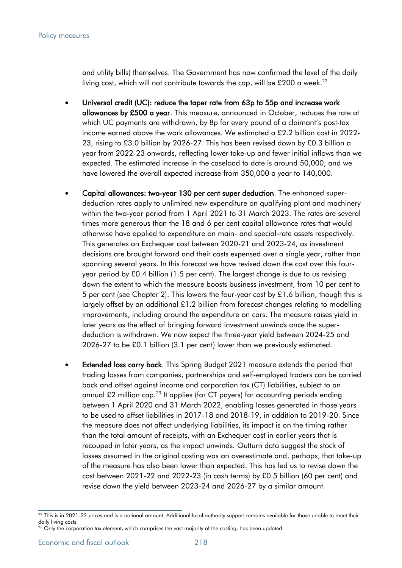and utility bills) themselves. The Government has now confirmed the level of the daily living cost, which will not contribute towards the cap, will be £200 a week.<sup>22</sup>

- Universal credit (UC): reduce the taper rate from 63p to 55p and increase work allowances by £500 a year. This measure, announced in October, reduces the rate at which UC payments are withdrawn, by 8p for every pound of a claimant's post-tax income earned above the work allowances. We estimated a £2.2 billion cost in 2022- 23, rising to £3.0 billion by 2026-27. This has been revised down by £0.3 billion a year from 2022-23 onwards, reflecting lower take-up and fewer initial inflows than we expected. The estimated increase in the caseload to date is around 50,000, and we have lowered the overall expected increase from 350,000 a year to 140,000.
- Capital allowances: two-year 130 per cent super deduction. The enhanced superdeduction rates apply to unlimited new expenditure on qualifying plant and machinery within the two-year period from 1 April 2021 to 31 March 2023. The rates are several times more generous than the 18 and 6 per cent capital allowance rates that would otherwise have applied to expenditure on main- and special-rate assets respectively. This generates an Exchequer cost between 2020-21 and 2023-24, as investment decisions are brought forward and their costs expensed over a single year, rather than spanning several years. In this forecast we have revised down the cost over this fouryear period by £0.4 billion (1.5 per cent). The largest change is due to us revising down the extent to which the measure boosts business investment, from 10 per cent to 5 per cent (see Chapter 2). This lowers the four-year cost by £1.6 billion, though this is largely offset by an additional £1.2 billion from forecast changes relating to modelling improvements, including around the expenditure on cars. The measure raises yield in later years as the effect of bringing forward investment unwinds once the superdeduction is withdrawn. We now expect the three-year yield between 2024-25 and 2026-27 to be £0.1 billion (3.1 per cent) lower than we previously estimated.
- **Extended loss carry back**. This Spring Budget 2021 measure extends the period that trading losses from companies, partnerships and self-employed traders can be carried back and offset against income and corporation tax (CT) liabilities, subject to an annual £2 million cap.<sup>23</sup> It applies (for CT payers) for accounting periods ending between 1 April 2020 and 31 March 2022, enabling losses generated in those years to be used to offset liabilities in 2017-18 and 2018-19, in addition to 2019-20. Since the measure does not affect underlying liabilities, its impact is on the timing rather than the total amount of receipts, with an Exchequer cost in earlier years that is recouped in later years, as the impact unwinds. Outturn data suggest the stock of losses assumed in the original costing was an overestimate and, perhaps, that take-up of the measure has also been lower than expected. This has led us to revise down the cost between 2021-22 and 2022-23 (in cash terms) by £0.5 billion (60 per cent) and revise down the yield between 2023-24 and 2026-27 by a similar amount.

 $^{22}$  This is in 2021-22 prices and is a notional amount. Additional local authority support remains available for those unable to meet their daily living costs.

 $^{23}$  Only the corporation tax element, which comprises the vast majority of the costing, has been updated.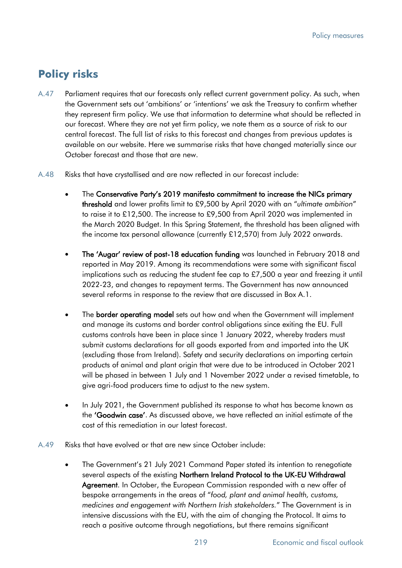# **Policy risks**

- A.47 Parliament requires that our forecasts only reflect current government policy. As such, when the Government sets out 'ambitions' or 'intentions' we ask the Treasury to confirm whether they represent firm policy. We use that information to determine what should be reflected in our forecast. Where they are not yet firm policy, we note them as a source of risk to our central forecast. The full list of risks to this forecast and changes from previous updates is available on our website. Here we summarise risks that have changed materially since our October forecast and those that are new.
- A.48 Risks that have crystallised and are now reflected in our forecast include:
	- The Conservative Party's 2019 manifesto commitment to increase the NICs primary threshold and lower profits limit to £9,500 by April 2020 with an "*ultimate ambition*" to raise it to £12,500. The increase to £9,500 from April 2020 was implemented in the March 2020 Budget. In this Spring Statement, the threshold has been aligned with the income tax personal allowance (currently £12,570) from July 2022 onwards.
	- The 'Augar' review of post-18 education funding was launched in February 2018 and reported in May 2019. Among its recommendations were some with significant fiscal implications such as reducing the student fee cap to £7,500 a year and freezing it until 2022-23, and changes to repayment terms. The Government has now announced several reforms in response to the review that are discussed in Box A.1.
	- The **border operating model** sets out how and when the Government will implement and manage its customs and border control obligations since exiting the EU. Full customs controls have been in place since 1 January 2022, whereby traders must submit customs declarations for all goods exported from and imported into the UK (excluding those from Ireland). Safety and security declarations on importing certain products of animal and plant origin that were due to be introduced in October 2021 will be phased in between 1 July and 1 November 2022 under a revised timetable, to give agri-food producers time to adjust to the new system.
	- In July 2021, the Government published its response to what has become known as the 'Goodwin case'. As discussed above, we have reflected an initial estimate of the cost of this remediation in our latest forecast.
- A.49 Risks that have evolved or that are new since October include:
	- The Government's 21 July 2021 Command Paper stated its intention to renegotiate several aspects of the existing Northern Ireland Protocol to the UK-EU Withdrawal Agreement. In October, the European Commission responded with a new offer of bespoke arrangements in the areas of "*food, plant and animal health, customs, medicines and engagement with Northern Irish stakeholders.*" The Government is in intensive discussions with the EU, with the aim of changing the Protocol. It aims to reach a positive outcome through negotiations, but there remains significant